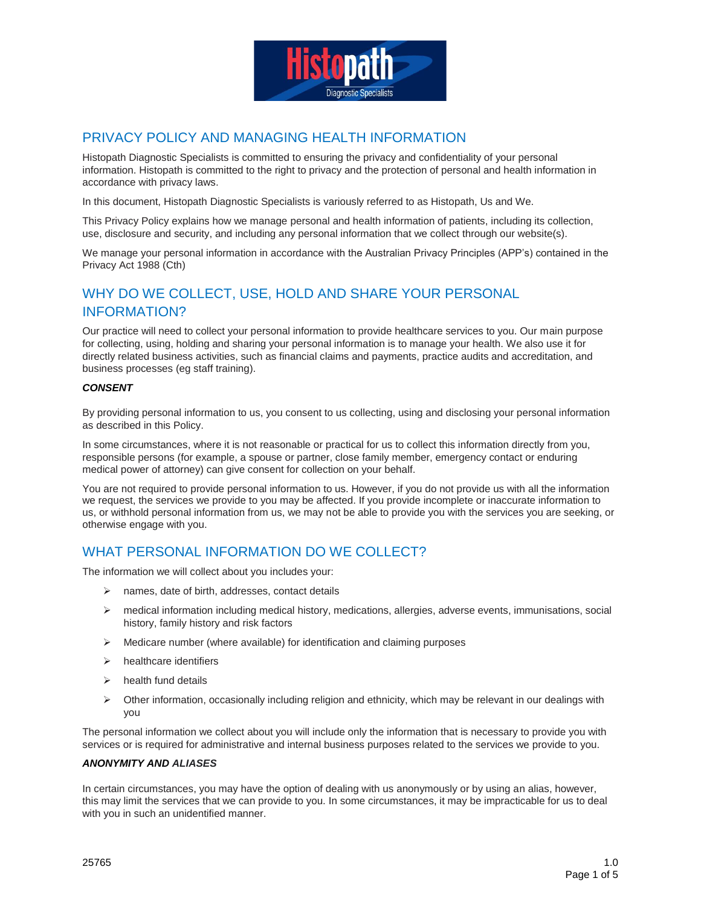

## PRIVACY POLICY AND MANAGING HEALTH INFORMATION

Histopath Diagnostic Specialists is committed to ensuring the privacy and confidentiality of your personal information. Histopath is committed to the right to privacy and the protection of personal and health information in accordance with privacy laws.

In this document, Histopath Diagnostic Specialists is variously referred to as Histopath, Us and We.

This Privacy Policy explains how we manage personal and health information of patients, including its collection, use, disclosure and security, and including any personal information that we collect through our website(s).

We manage your personal information in accordance with the Australian Privacy Principles (APP's) contained in the Privacy Act 1988 (Cth)

# WHY DO WE COLLECT, USE, HOLD AND SHARE YOUR PERSONAL INFORMATION?

Our practice will need to collect your personal information to provide healthcare services to you. Our main purpose for collecting, using, holding and sharing your personal information is to manage your health. We also use it for directly related business activities, such as financial claims and payments, practice audits and accreditation, and business processes (eg staff training).

#### *CONSENT*

By providing personal information to us, you consent to us collecting, using and disclosing your personal information as described in this Policy.

In some circumstances, where it is not reasonable or practical for us to collect this information directly from you, responsible persons (for example, a spouse or partner, close family member, emergency contact or enduring medical power of attorney) can give consent for collection on your behalf.

You are not required to provide personal information to us. However, if you do not provide us with all the information we request, the services we provide to you may be affected. If you provide incomplete or inaccurate information to us, or withhold personal information from us, we may not be able to provide you with the services you are seeking, or otherwise engage with you.

## WHAT PERSONAL INFORMATION DO WE COLLECT?

The information we will collect about you includes your:

- $\triangleright$  names, date of birth, addresses, contact details
- $\triangleright$  medical information including medical history, medications, allergies, adverse events, immunisations, social history, family history and risk factors
- $\triangleright$  Medicare number (where available) for identification and claiming purposes
- $\triangleright$  healthcare identifiers
- $\triangleright$  health fund details
- $\triangleright$  Other information, occasionally including religion and ethnicity, which may be relevant in our dealings with you

The personal information we collect about you will include only the information that is necessary to provide you with services or is required for administrative and internal business purposes related to the services we provide to you.

#### *ANONYMITY AND ALIASES*

In certain circumstances, you may have the option of dealing with us anonymously or by using an alias, however, this may limit the services that we can provide to you. In some circumstances, it may be impracticable for us to deal with you in such an unidentified manner.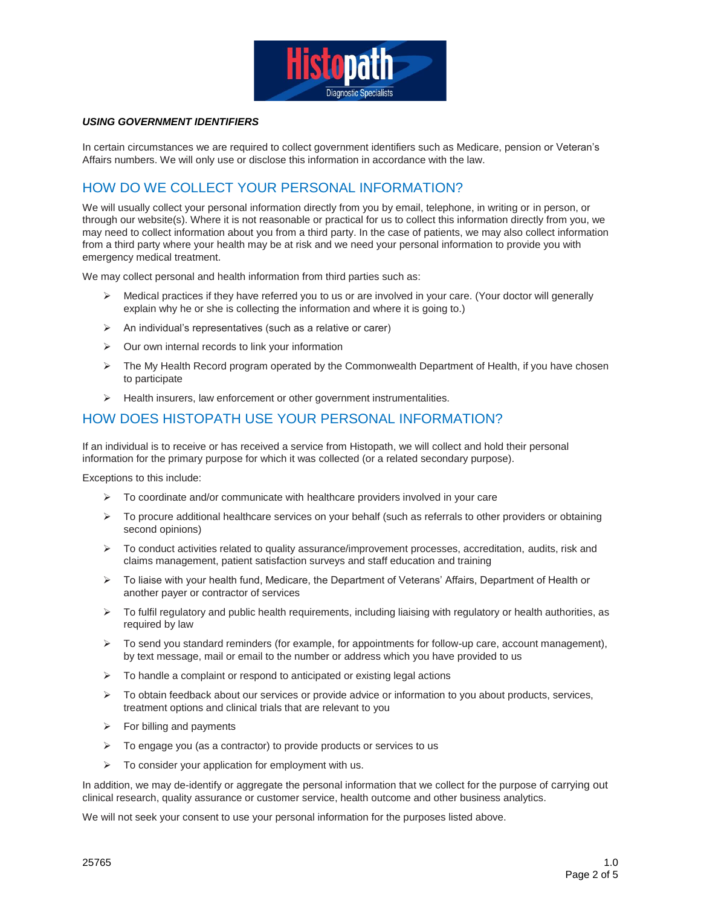

#### *USING GOVERNMENT IDENTIFIERS*

In certain circumstances we are required to collect government identifiers such as Medicare, pension or Veteran's Affairs numbers. We will only use or disclose this information in accordance with the law.

# HOW DO WE COLLECT YOUR PERSONAL INFORMATION?

We will usually collect your personal information directly from you by email, telephone, in writing or in person, or through our website(s). Where it is not reasonable or practical for us to collect this information directly from you, we may need to collect information about you from a third party. In the case of patients, we may also collect information from a third party where your health may be at risk and we need your personal information to provide you with emergency medical treatment.

We may collect personal and health information from third parties such as:

- $\triangleright$  Medical practices if they have referred you to us or are involved in your care. (Your doctor will generally explain why he or she is collecting the information and where it is going to.)
- $\triangleright$  An individual's representatives (such as a relative or carer)
- $\triangleright$  Our own internal records to link your information
- $\triangleright$  The My Health Record program operated by the Commonwealth Department of Health, if you have chosen to participate
- $\triangleright$  Health insurers, law enforcement or other government instrumentalities.

## HOW DOES HISTOPATH USE YOUR PERSONAL INFORMATION?

If an individual is to receive or has received a service from Histopath, we will collect and hold their personal information for the primary purpose for which it was collected (or a related secondary purpose).

Exceptions to this include:

- $\triangleright$  To coordinate and/or communicate with healthcare providers involved in your care
- $\triangleright$  To procure additional healthcare services on your behalf (such as referrals to other providers or obtaining second opinions)
- $\triangleright$  To conduct activities related to quality assurance/improvement processes, accreditation, audits, risk and claims management, patient satisfaction surveys and staff education and training
- To liaise with your health fund, Medicare, the Department of Veterans' Affairs, Department of Health or another payer or contractor of services
- $\triangleright$  To fulfil regulatory and public health requirements, including liaising with regulatory or health authorities, as required by law
- $\triangleright$  To send you standard reminders (for example, for appointments for follow-up care, account management), by text message, mail or email to the number or address which you have provided to us
- $\triangleright$  To handle a complaint or respond to anticipated or existing legal actions
- $\triangleright$  To obtain feedback about our services or provide advice or information to you about products, services, treatment options and clinical trials that are relevant to you
- $\triangleright$  For billing and payments
- $\triangleright$  To engage you (as a contractor) to provide products or services to us
- $\triangleright$  To consider your application for employment with us.

In addition, we may de-identify or aggregate the personal information that we collect for the purpose of carrying out clinical research, quality assurance or customer service, health outcome and other business analytics.

We will not seek your consent to use your personal information for the purposes listed above.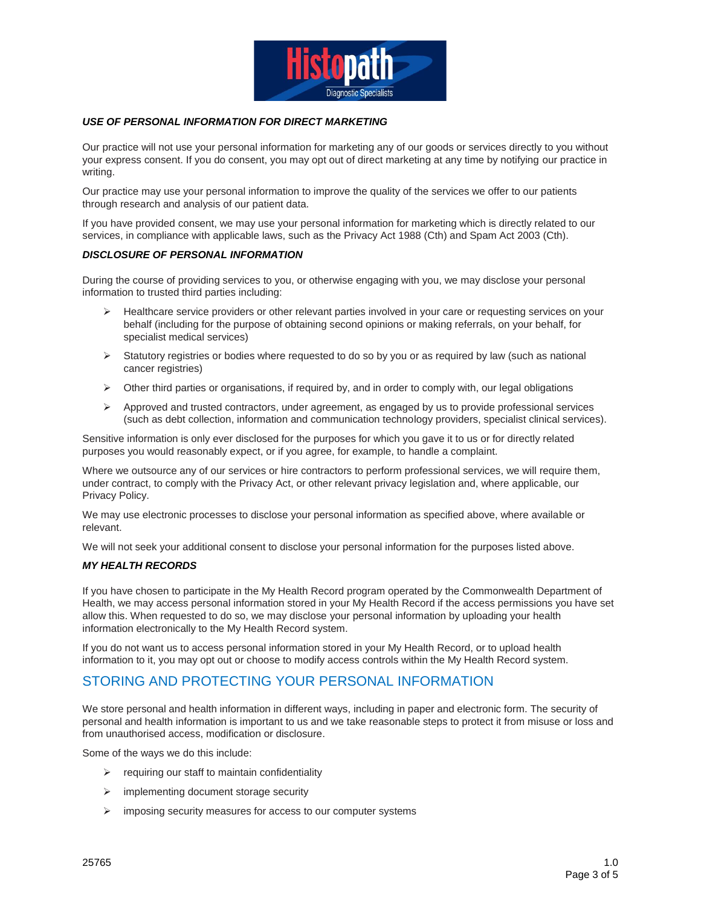

#### *USE OF PERSONAL INFORMATION FOR DIRECT MARKETING*

Our practice will not use your personal information for marketing any of our goods or services directly to you without your express consent. If you do consent, you may opt out of direct marketing at any time by notifying our practice in writing.

Our practice may use your personal information to improve the quality of the services we offer to our patients through research and analysis of our patient data.

If you have provided consent, we may use your personal information for marketing which is directly related to our services, in compliance with applicable laws, such as the Privacy Act 1988 (Cth) and Spam Act 2003 (Cth).

#### *DISCLOSURE OF PERSONAL INFORMATION*

During the course of providing services to you, or otherwise engaging with you, we may disclose your personal information to trusted third parties including:

- $\triangleright$  Healthcare service providers or other relevant parties involved in your care or requesting services on your behalf (including for the purpose of obtaining second opinions or making referrals, on your behalf, for specialist medical services)
- $\triangleright$  Statutory registries or bodies where requested to do so by you or as required by law (such as national cancer registries)
- $\triangleright$  Other third parties or organisations, if required by, and in order to comply with, our legal obligations
- $\triangleright$  Approved and trusted contractors, under agreement, as engaged by us to provide professional services (such as debt collection, information and communication technology providers, specialist clinical services).

Sensitive information is only ever disclosed for the purposes for which you gave it to us or for directly related purposes you would reasonably expect, or if you agree, for example, to handle a complaint.

Where we outsource any of our services or hire contractors to perform professional services, we will require them, under contract, to comply with the Privacy Act, or other relevant privacy legislation and, where applicable, our Privacy Policy.

We may use electronic processes to disclose your personal information as specified above, where available or relevant.

We will not seek your additional consent to disclose your personal information for the purposes listed above.

#### *MY HEALTH RECORDS*

If you have chosen to participate in the My Health Record program operated by the Commonwealth Department of Health, we may access personal information stored in your My Health Record if the access permissions you have set allow this. When requested to do so, we may disclose your personal information by uploading your health information electronically to the My Health Record system.

If you do not want us to access personal information stored in your My Health Record, or to upload health information to it, you may opt out or choose to modify access controls within the My Health Record system.

### STORING AND PROTECTING YOUR PERSONAL INFORMATION

We store personal and health information in different ways, including in paper and electronic form. The security of personal and health information is important to us and we take reasonable steps to protect it from misuse or loss and from unauthorised access, modification or disclosure.

Some of the ways we do this include:

- $\triangleright$  requiring our staff to maintain confidentiality
- $\triangleright$  implementing document storage security
- $\triangleright$  imposing security measures for access to our computer systems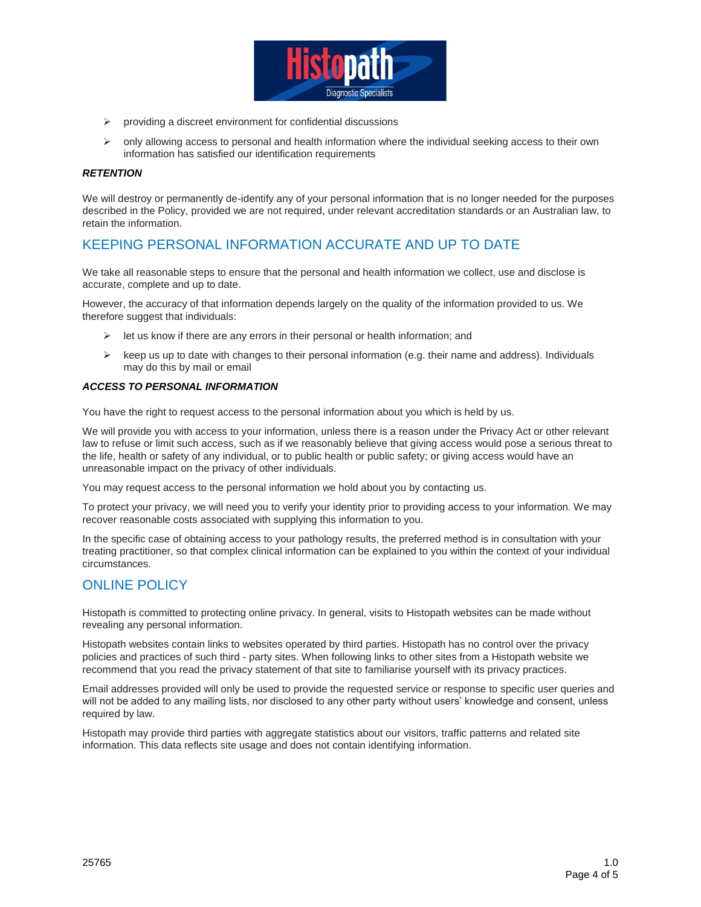

- $\triangleright$  providing a discreet environment for confidential discussions
- $\triangleright$  only allowing access to personal and health information where the individual seeking access to their own information has satisfied our identification requirements

#### *RETENTION*

We will destroy or permanently de-identify any of your personal information that is no longer needed for the purposes described in the Policy, provided we are not required, under relevant accreditation standards or an Australian law, to retain the information.

### KEEPING PERSONAL INFORMATION ACCURATE AND UP TO DATE

We take all reasonable steps to ensure that the personal and health information we collect, use and disclose is accurate, complete and up to date.

However, the accuracy of that information depends largely on the quality of the information provided to us. We therefore suggest that individuals:

- $\triangleright$  let us know if there are any errors in their personal or health information; and
- $\triangleright$  keep us up to date with changes to their personal information (e.g. their name and address). Individuals may do this by mail or email

#### *ACCESS TO PERSONAL INFORMATION*

You have the right to request access to the personal information about you which is held by us.

We will provide you with access to your information, unless there is a reason under the Privacy Act or other relevant law to refuse or limit such access, such as if we reasonably believe that giving access would pose a serious threat to the life, health or safety of any individual, or to public health or public safety; or giving access would have an unreasonable impact on the privacy of other individuals.

You may request access to the personal information we hold about you by contacting us.

To protect your privacy, we will need you to verify your identity prior to providing access to your information. We may recover reasonable costs associated with supplying this information to you.

In the specific case of obtaining access to your pathology results, the preferred method is in consultation with your treating practitioner, so that complex clinical information can be explained to you within the context of your individual circumstances.

### ONLINE POLICY

Histopath is committed to protecting online privacy. In general, visits to Histopath websites can be made without revealing any personal information.

Histopath websites contain links to websites operated by third parties. Histopath has no control over the privacy policies and practices of such third - party sites. When following links to other sites from a Histopath website we recommend that you read the privacy statement of that site to familiarise yourself with its privacy practices.

Email addresses provided will only be used to provide the requested service or response to specific user queries and will not be added to any mailing lists, nor disclosed to any other party without users' knowledge and consent, unless required by law.

Histopath may provide third parties with aggregate statistics about our visitors, traffic patterns and related site information. This data reflects site usage and does not contain identifying information.